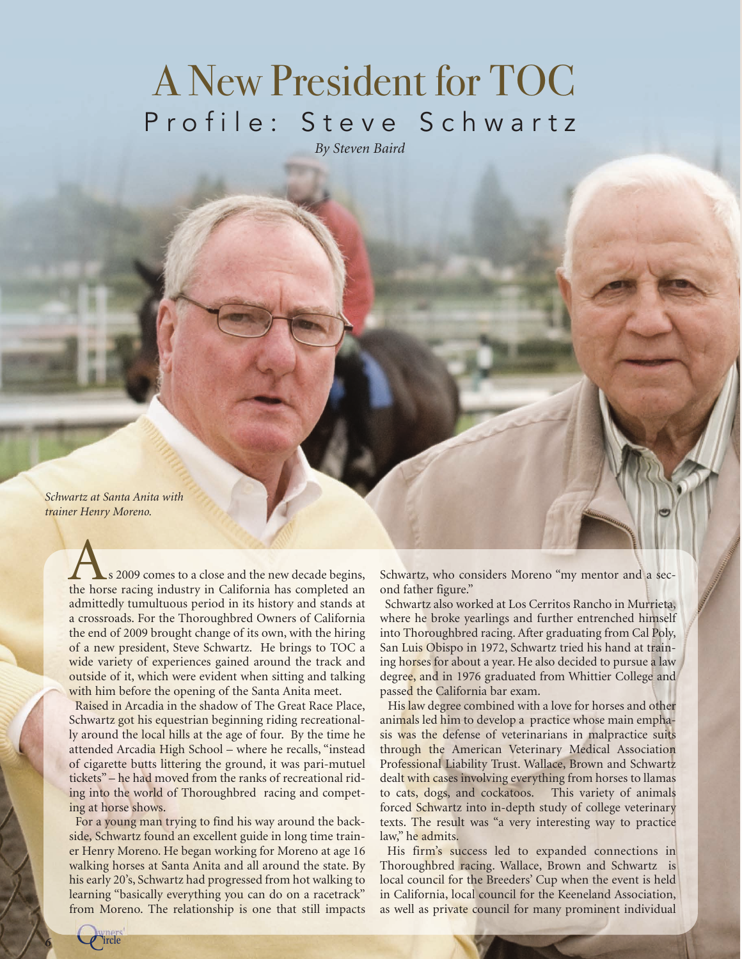## A New President for TOC Profile: Steve Schwartz

*By Steven Baird*

*Schwartz at Santa Anita with trainer Henry Moreno.*

> s 2009 comes to a close and the new decade begins, As 2009 comes to a close and the new decade begins,<br>the horse racing industry in California has completed an admittedly tumultuous period in its history and stands at a crossroads. For the Thoroughbred Owners of California the end of 2009 brought change of its own, with the hiring of a new president, Steve Schwartz. He brings to TOC a wide variety of experiences gained around the track and outside of it, which were evident when sitting and talking with him before the opening of the Santa Anita meet.

> Raised in Arcadia in the shadow of The Great Race Place, Schwartz got his equestrian beginning riding recreationally around the local hills at the age of four. By the time he attended Arcadia High School – where he recalls, "instead of cigarette butts littering the ground, it was pari-mutuel tickets" – he had moved from the ranks of recreational riding into the world of Thoroughbred racing and competing at horse shows.

> For a young man trying to find his way around the backside, Schwartz found an excellent guide in long time trainer Henry Moreno. He began working for Moreno at age 16 walking horses at Santa Anita and all around the state. By his early 20's, Schwartz had progressed from hot walking to learning "basically everything you can do on a racetrack" from Moreno. The relationship is one that still impacts

Schwartz, who considers Moreno "my mentor and a second father figure."

Schwartz also worked at Los Cerritos Rancho in Murrieta, where he broke yearlings and further entrenched himself into Thoroughbred racing. After graduating from Cal Poly, San Luis Obispo in 1972, Schwartz tried his hand at training horses for about a year. He also decided to pursue a law degree, and in 1976 graduated from Whittier College and passed the California bar exam.

His law degree combined with a love for horses and other animals led him to develop a practice whose main emphasis was the defense of veterinarians in malpractice suits through the American Veterinary Medical Association Professional Liability Trust. Wallace, Brown and Schwartz dealt with cases involving everything from horses to llamas to cats, dogs, and cockatoos. This variety of animals forced Schwartz into in-depth study of college veterinary texts. The result was "a very interesting way to practice law," he admits.

His firm's success led to expanded connections in Thoroughbred racing. Wallace, Brown and Schwartz is local council for the Breeders' Cup when the event is held in California, local council for the Keeneland Association, as well as private council for many prominent individual

*<sup>6</sup>* ircle Owners'  $\overline{\mathcal{C}}$